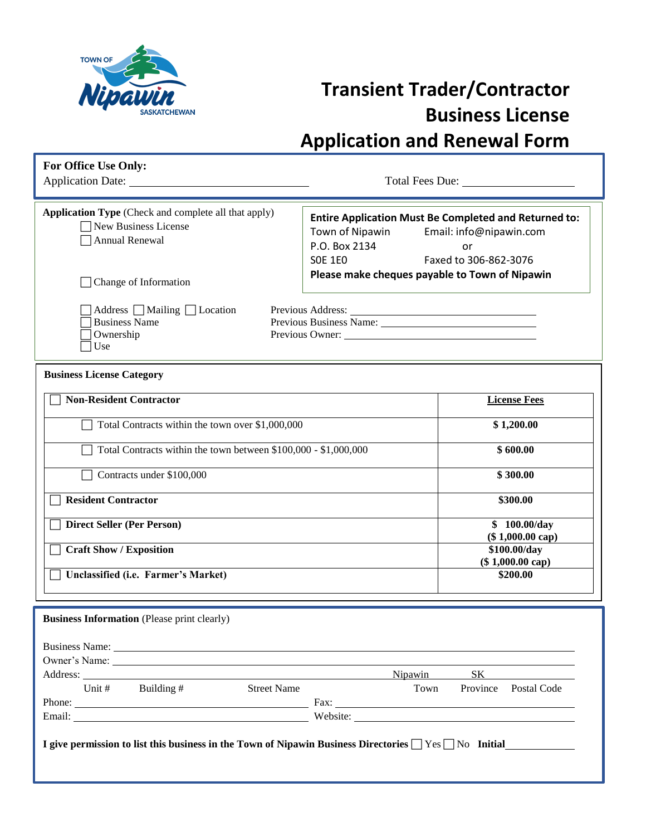

## **Transient Trader/Contractor Business License Application and Renewal Form**

| For Office Use Only:<br>Application Date:                                                             | Total Fees Due:                                                                                                                                                              |
|-------------------------------------------------------------------------------------------------------|------------------------------------------------------------------------------------------------------------------------------------------------------------------------------|
| <b>Application Type</b> (Check and complete all that apply)<br>New Business License<br>Annual Renewal | <b>Entire Application Must Be Completed and Returned to:</b><br>Town of Nipawin<br>Email: info@nipawin.com<br>P.O. Box 2134<br>or<br><b>SOE 1E0</b><br>Faxed to 306-862-3076 |
| Change of Information                                                                                 | Please make cheques payable to Town of Nipawin                                                                                                                               |
| Address $\Box$ Mailing $\Box$ Location<br><b>Business Name</b><br>Ownership<br>Use                    | Previous Owner:                                                                                                                                                              |
| <b>Business License Category</b>                                                                      |                                                                                                                                                                              |
| <b>Non-Resident Contractor</b>                                                                        | <b>License Fees</b>                                                                                                                                                          |
| Total Contracts within the town over \$1,000,000                                                      | \$1,200.00                                                                                                                                                                   |
| Total Contracts within the town between \$100,000 - \$1,000,000                                       | \$600.00                                                                                                                                                                     |
| Contracts under \$100,000                                                                             | \$300.00                                                                                                                                                                     |
| <b>Resident Contractor</b>                                                                            | \$300.00                                                                                                                                                                     |
| <b>Direct Seller (Per Person)</b>                                                                     | \$100.00/day<br>$(\$1,000.00 cap)$                                                                                                                                           |
| <b>Craft Show / Exposition</b>                                                                        | \$100.00/day<br>$(\$1,000.00 cap)$                                                                                                                                           |
| Unclassified (i.e. Farmer's Market)                                                                   | \$200.00                                                                                                                                                                     |
| <b>Business Information</b> (Please print clearly)                                                    |                                                                                                                                                                              |
|                                                                                                       | SK<br>Nipawin                                                                                                                                                                |
| Building #<br><b>Street Name</b><br>Unit $#$<br>Phone: Fax:                                           | Town<br>Province Postal Code                                                                                                                                                 |

**I give permission to list this business in the Town of Nipawin Business Directories**  $\Box$  **Yes**  $\Box$  **No Initial** 

Email: Website: